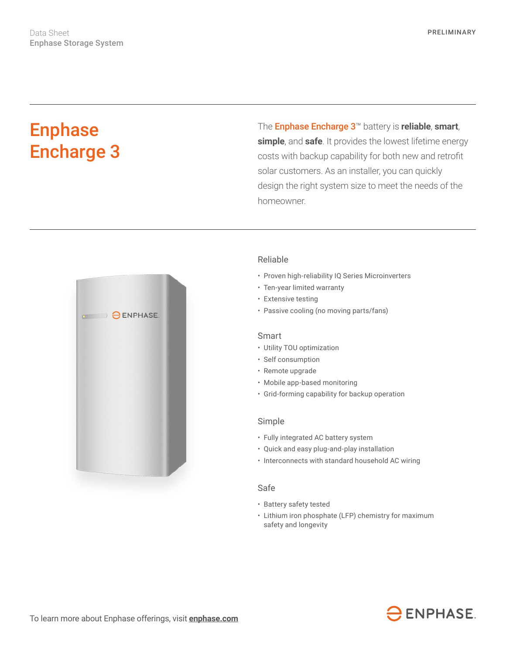# Enphase Encharge 3

The Enphase Encharge 3™ battery is **reliable**, **smart**, **simple**, and **safe**. It provides the lowest lifetime energy costs with backup capability for both new and retrofit solar customers. As an installer, you can quickly design the right system size to meet the needs of the homeowner.



# Reliable

- Proven high-reliability IQ Series Microinverters
- Ten-year limited warranty
- Extensive testing
- Passive cooling (no moving parts/fans)

### Smart

- Utility TOU optimization
- Self consumption
- Remote upgrade
- Mobile app-based monitoring
- Grid-forming capability for backup operation

#### Simple

- Fully integrated AC battery system
- Quick and easy plug-and-play installation
- Interconnects with standard household AC wiring

## Safe

- Battery safety tested
- Lithium iron phosphate (LFP) chemistry for maximum safety and longevity